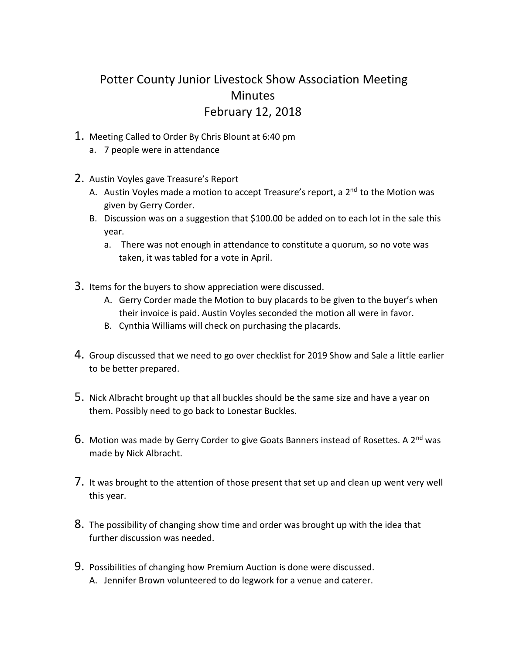## Potter County Junior Livestock Show Association Meeting **Minutes** February 12, 2018

- 1. Meeting Called to Order By Chris Blount at 6:40 pm
	- a. 7 people were in attendance
- 2. Austin Voyles gave Treasure's Report
	- A. Austin Voyles made a motion to accept Treasure's report, a 2<sup>nd</sup> to the Motion was given by Gerry Corder.
	- B. Discussion was on a suggestion that \$100.00 be added on to each lot in the sale this year.
		- a. There was not enough in attendance to constitute a quorum, so no vote was taken, it was tabled for a vote in April.
- 3. Items for the buyers to show appreciation were discussed.
	- A. Gerry Corder made the Motion to buy placards to be given to the buyer's when their invoice is paid. Austin Voyles seconded the motion all were in favor.
	- B. Cynthia Williams will check on purchasing the placards.
- 4. Group discussed that we need to go over checklist for 2019 Show and Sale a little earlier to be better prepared.
- 5. Nick Albracht brought up that all buckles should be the same size and have a year on them. Possibly need to go back to Lonestar Buckles.
- $6.$  Motion was made by Gerry Corder to give Goats Banners instead of Rosettes. A 2<sup>nd</sup> was made by Nick Albracht.
- 7. It was brought to the attention of those present that set up and clean up went very well this year.
- 8. The possibility of changing show time and order was brought up with the idea that further discussion was needed.
- 9. Possibilities of changing how Premium Auction is done were discussed.
	- A. Jennifer Brown volunteered to do legwork for a venue and caterer.